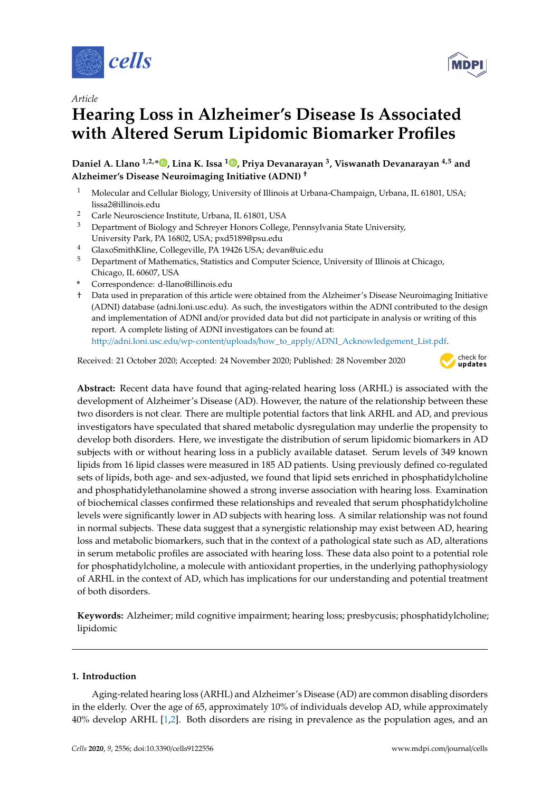



# **Hearing Loss in Alzheimer's Disease Is Associated with Altered Serum Lipidomic Biomarker Profiles**

**Daniel A. Llano 1,2,[\\*](https://orcid.org/0000-0003-0933-1837) , Lina K. Issa <sup>1</sup> [,](https://orcid.org/0000-0002-3864-8668) Priya Devanarayan <sup>3</sup> , Viswanath Devanarayan 4,5 and Alzheimer's Disease Neuroimaging Initiative (ADNI)** †

- <sup>1</sup> Molecular and Cellular Biology, University of Illinois at Urbana-Champaign, Urbana, IL 61801, USA; lissa2@illinois.edu
- <sup>2</sup> Carle Neuroscience Institute, Urbana, IL 61801, USA
- <sup>3</sup> Department of Biology and Schreyer Honors College, Pennsylvania State University, University Park, PA 16802, USA; pxd5189@psu.edu
- <sup>4</sup> GlaxoSmithKline, Collegeville, PA 19426 USA; devan@uic.edu
- <sup>5</sup> Department of Mathematics, Statistics and Computer Science, University of Illinois at Chicago, Chicago, IL 60607, USA
- **\*** Correspondence: d-llano@illinois.edu
- † Data used in preparation of this article were obtained from the Alzheimer's Disease Neuroimaging Initiative (ADNI) database (adni.loni.usc.edu). As such, the investigators within the ADNI contributed to the design and implementation of ADNI and/or provided data but did not participate in analysis or writing of this report. A complete listing of ADNI investigators can be found at: http://adni.loni.usc.edu/wp-content/uploads/how\_to\_apply/[ADNI\\_Acknowledgement\\_List.pdf.](http://adni.loni.usc.edu/wp-content/uploads/how_to_apply/ADNI_Acknowledgement_List.pdf)

Received: 21 October 2020; Accepted: 24 November 2020; Published: 28 November 2020



**MDP** 

**Abstract:** Recent data have found that aging-related hearing loss (ARHL) is associated with the development of Alzheimer's Disease (AD). However, the nature of the relationship between these two disorders is not clear. There are multiple potential factors that link ARHL and AD, and previous investigators have speculated that shared metabolic dysregulation may underlie the propensity to develop both disorders. Here, we investigate the distribution of serum lipidomic biomarkers in AD subjects with or without hearing loss in a publicly available dataset. Serum levels of 349 known lipids from 16 lipid classes were measured in 185 AD patients. Using previously defined co-regulated sets of lipids, both age- and sex-adjusted, we found that lipid sets enriched in phosphatidylcholine and phosphatidylethanolamine showed a strong inverse association with hearing loss. Examination of biochemical classes confirmed these relationships and revealed that serum phosphatidylcholine levels were significantly lower in AD subjects with hearing loss. A similar relationship was not found in normal subjects. These data suggest that a synergistic relationship may exist between AD, hearing loss and metabolic biomarkers, such that in the context of a pathological state such as AD, alterations in serum metabolic profiles are associated with hearing loss. These data also point to a potential role for phosphatidylcholine, a molecule with antioxidant properties, in the underlying pathophysiology of ARHL in the context of AD, which has implications for our understanding and potential treatment of both disorders.

**Keywords:** Alzheimer; mild cognitive impairment; hearing loss; presbycusis; phosphatidylcholine; lipidomic

# **1. Introduction**

Aging-related hearing loss (ARHL) and Alzheimer's Disease (AD) are common disabling disorders in the elderly. Over the age of 65, approximately 10% of individuals develop AD, while approximately 40% develop ARHL [\[1,](#page-9-0)[2\]](#page-9-1). Both disorders are rising in prevalence as the population ages, and an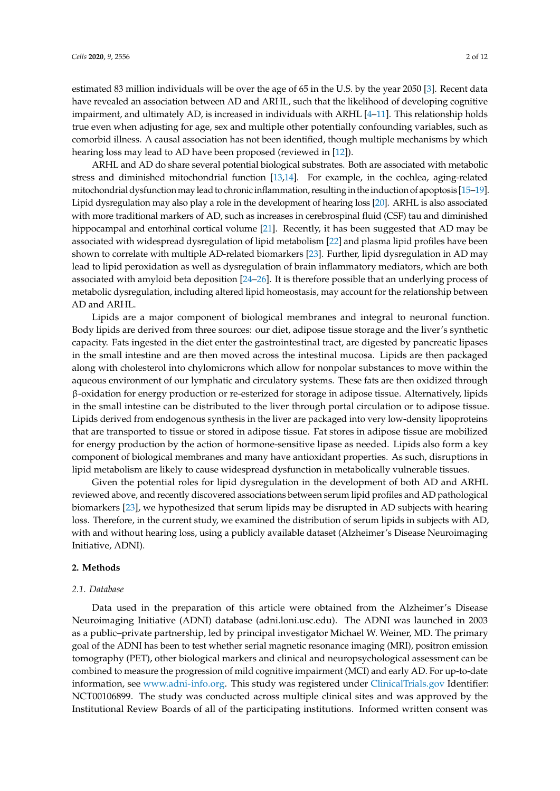estimated 83 million individuals will be over the age of 65 in the U.S. by the year 2050 [\[3\]](#page-9-2). Recent data have revealed an association between AD and ARHL, such that the likelihood of developing cognitive impairment, and ultimately AD, is increased in individuals with ARHL [\[4](#page-9-3)[–11\]](#page-9-4). This relationship holds true even when adjusting for age, sex and multiple other potentially confounding variables, such as comorbid illness. A causal association has not been identified, though multiple mechanisms by which hearing loss may lead to AD have been proposed (reviewed in [\[12\]](#page-10-0)).

ARHL and AD do share several potential biological substrates. Both are associated with metabolic stress and diminished mitochondrial function [\[13,](#page-10-1)[14\]](#page-10-2). For example, in the cochlea, aging-related mitochondrial dysfunction may lead to chronic inflammation, resulting in the induction of apoptosis [\[15](#page-10-3)[–19\]](#page-10-4). Lipid dysregulation may also play a role in the development of hearing loss [\[20\]](#page-10-5). ARHL is also associated with more traditional markers of AD, such as increases in cerebrospinal fluid (CSF) tau and diminished hippocampal and entorhinal cortical volume [\[21\]](#page-10-6). Recently, it has been suggested that AD may be associated with widespread dysregulation of lipid metabolism [\[22\]](#page-10-7) and plasma lipid profiles have been shown to correlate with multiple AD-related biomarkers [\[23\]](#page-10-8). Further, lipid dysregulation in AD may lead to lipid peroxidation as well as dysregulation of brain inflammatory mediators, which are both associated with amyloid beta deposition [\[24](#page-10-9)[–26\]](#page-10-10). It is therefore possible that an underlying process of metabolic dysregulation, including altered lipid homeostasis, may account for the relationship between AD and ARHL.

Lipids are a major component of biological membranes and integral to neuronal function. Body lipids are derived from three sources: our diet, adipose tissue storage and the liver's synthetic capacity. Fats ingested in the diet enter the gastrointestinal tract, are digested by pancreatic lipases in the small intestine and are then moved across the intestinal mucosa. Lipids are then packaged along with cholesterol into chylomicrons which allow for nonpolar substances to move within the aqueous environment of our lymphatic and circulatory systems. These fats are then oxidized through β-oxidation for energy production or re-esterized for storage in adipose tissue. Alternatively, lipids in the small intestine can be distributed to the liver through portal circulation or to adipose tissue. Lipids derived from endogenous synthesis in the liver are packaged into very low-density lipoproteins that are transported to tissue or stored in adipose tissue. Fat stores in adipose tissue are mobilized for energy production by the action of hormone-sensitive lipase as needed. Lipids also form a key component of biological membranes and many have antioxidant properties. As such, disruptions in lipid metabolism are likely to cause widespread dysfunction in metabolically vulnerable tissues.

Given the potential roles for lipid dysregulation in the development of both AD and ARHL reviewed above, and recently discovered associations between serum lipid profiles and AD pathological biomarkers [\[23\]](#page-10-8), we hypothesized that serum lipids may be disrupted in AD subjects with hearing loss. Therefore, in the current study, we examined the distribution of serum lipids in subjects with AD, with and without hearing loss, using a publicly available dataset (Alzheimer's Disease Neuroimaging Initiative, ADNI).

# **2. Methods**

### *2.1. Database*

Data used in the preparation of this article were obtained from the Alzheimer's Disease Neuroimaging Initiative (ADNI) database (adni.loni.usc.edu). The ADNI was launched in 2003 as a public–private partnership, led by principal investigator Michael W. Weiner, MD. The primary goal of the ADNI has been to test whether serial magnetic resonance imaging (MRI), positron emission tomography (PET), other biological markers and clinical and neuropsychological assessment can be combined to measure the progression of mild cognitive impairment (MCI) and early AD. For up-to-date information, see [www.adni-info.org.](www.adni-info.org) This study was registered under <ClinicalTrials.gov> Identifier: NCT00106899. The study was conducted across multiple clinical sites and was approved by the Institutional Review Boards of all of the participating institutions. Informed written consent was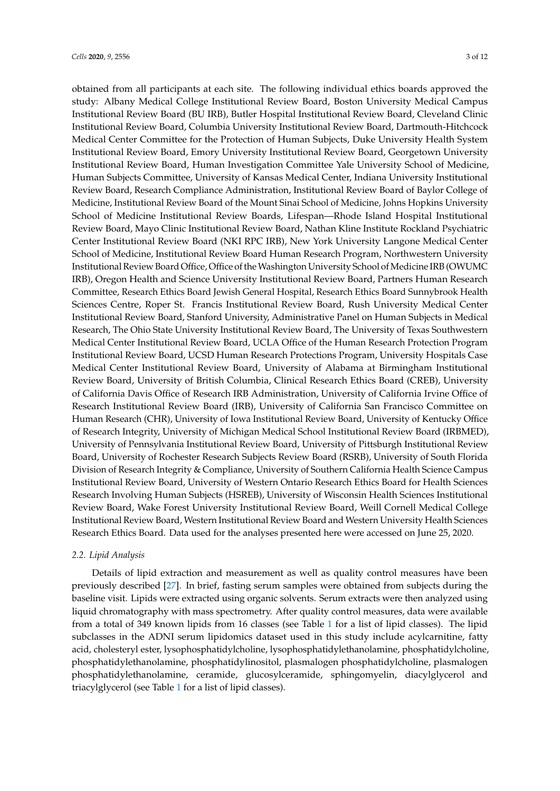obtained from all participants at each site. The following individual ethics boards approved the study: Albany Medical College Institutional Review Board, Boston University Medical Campus Institutional Review Board (BU IRB), Butler Hospital Institutional Review Board, Cleveland Clinic Institutional Review Board, Columbia University Institutional Review Board, Dartmouth-Hitchcock Medical Center Committee for the Protection of Human Subjects, Duke University Health System Institutional Review Board, Emory University Institutional Review Board, Georgetown University Institutional Review Board, Human Investigation Committee Yale University School of Medicine, Human Subjects Committee, University of Kansas Medical Center, Indiana University Institutional Review Board, Research Compliance Administration, Institutional Review Board of Baylor College of Medicine, Institutional Review Board of the Mount Sinai School of Medicine, Johns Hopkins University School of Medicine Institutional Review Boards, Lifespan—Rhode Island Hospital Institutional Review Board, Mayo Clinic Institutional Review Board, Nathan Kline Institute Rockland Psychiatric Center Institutional Review Board (NKI RPC IRB), New York University Langone Medical Center School of Medicine, Institutional Review Board Human Research Program, Northwestern University Institutional Review Board Office, Office of the Washington University School of Medicine IRB (OWUMC IRB), Oregon Health and Science University Institutional Review Board, Partners Human Research Committee, Research Ethics Board Jewish General Hospital, Research Ethics Board Sunnybrook Health Sciences Centre, Roper St. Francis Institutional Review Board, Rush University Medical Center Institutional Review Board, Stanford University, Administrative Panel on Human Subjects in Medical Research, The Ohio State University Institutional Review Board, The University of Texas Southwestern Medical Center Institutional Review Board, UCLA Office of the Human Research Protection Program Institutional Review Board, UCSD Human Research Protections Program, University Hospitals Case Medical Center Institutional Review Board, University of Alabama at Birmingham Institutional Review Board, University of British Columbia, Clinical Research Ethics Board (CREB), University of California Davis Office of Research IRB Administration, University of California Irvine Office of Research Institutional Review Board (IRB), University of California San Francisco Committee on Human Research (CHR), University of Iowa Institutional Review Board, University of Kentucky Office of Research Integrity, University of Michigan Medical School Institutional Review Board (IRBMED), University of Pennsylvania Institutional Review Board, University of Pittsburgh Institutional Review Board, University of Rochester Research Subjects Review Board (RSRB), University of South Florida Division of Research Integrity & Compliance, University of Southern California Health Science Campus Institutional Review Board, University of Western Ontario Research Ethics Board for Health Sciences Research Involving Human Subjects (HSREB), University of Wisconsin Health Sciences Institutional Review Board, Wake Forest University Institutional Review Board, Weill Cornell Medical College Institutional Review Board, Western Institutional Review Board and Western University Health Sciences Research Ethics Board. Data used for the analyses presented here were accessed on June 25, 2020.

#### *2.2. Lipid Analysis*

Details of lipid extraction and measurement as well as quality control measures have been previously described [\[27\]](#page-10-11). In brief, fasting serum samples were obtained from subjects during the baseline visit. Lipids were extracted using organic solvents. Serum extracts were then analyzed using liquid chromatography with mass spectrometry. After quality control measures, data were available from a total of 349 known lipids from 16 classes (see Table [1](#page-3-0) for a list of lipid classes). The lipid subclasses in the ADNI serum lipidomics dataset used in this study include acylcarnitine, fatty acid, cholesteryl ester, lysophosphatidylcholine, lysophosphatidylethanolamine, phosphatidylcholine, phosphatidylethanolamine, phosphatidylinositol, plasmalogen phosphatidylcholine, plasmalogen phosphatidylethanolamine, ceramide, glucosylceramide, sphingomyelin, diacylglycerol and triacylglycerol (see Table [1](#page-3-0) for a list of lipid classes).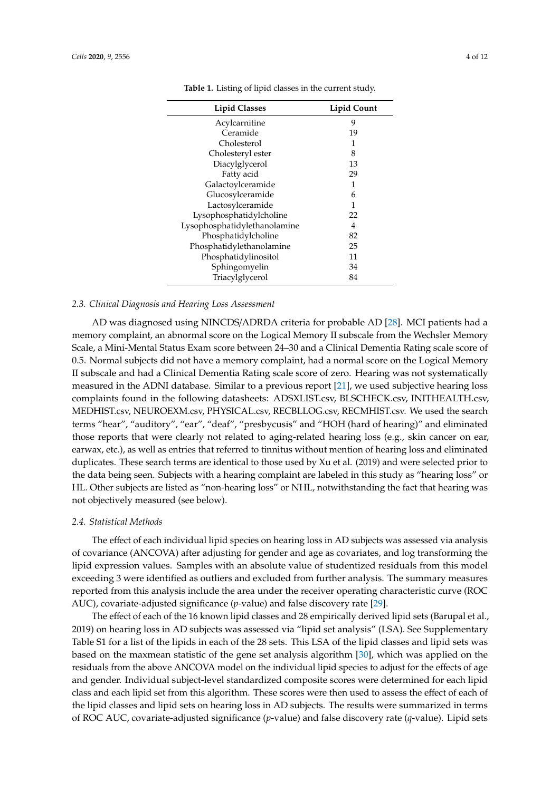<span id="page-3-0"></span>

| <b>Lipid Classes</b>         | <b>Lipid Count</b> |
|------------------------------|--------------------|
| Acylcarnitine                | 9                  |
| Ceramide                     | 19                 |
| Cholesterol                  | 1                  |
| Cholesteryl ester            | 8                  |
| Diacylglycerol               | 13                 |
| Fatty acid                   | 29                 |
| Galactoylceramide            | 1                  |
| Glucosylceramide             | 6                  |
| Lactosylceramide             | 1                  |
| Lysophosphatidylcholine      | 22                 |
| Lysophosphatidylethanolamine | 4                  |
| Phosphatidylcholine          | 82                 |
| Phosphatidylethanolamine     | 25                 |
| Phosphatidylinositol         | 11                 |
| Sphingomyelin                | 34                 |
| Triacylglycerol              | 84                 |

**Table 1.** Listing of lipid classes in the current study.

#### *2.3. Clinical Diagnosis and Hearing Loss Assessment*

AD was diagnosed using NINCDS/ADRDA criteria for probable AD [\[28\]](#page-10-12). MCI patients had a memory complaint, an abnormal score on the Logical Memory II subscale from the Wechsler Memory Scale, a Mini-Mental Status Exam score between 24–30 and a Clinical Dementia Rating scale score of 0.5. Normal subjects did not have a memory complaint, had a normal score on the Logical Memory II subscale and had a Clinical Dementia Rating scale score of zero. Hearing was not systematically measured in the ADNI database. Similar to a previous report [\[21\]](#page-10-6), we used subjective hearing loss complaints found in the following datasheets: ADSXLIST.csv, BLSCHECK.csv, INITHEALTH.csv, MEDHIST.csv, NEUROEXM.csv, PHYSICAL.csv, RECBLLOG.csv, RECMHIST.csv. We used the search terms "hear", "auditory", "ear", "deaf", "presbycusis" and "HOH (hard of hearing)" and eliminated those reports that were clearly not related to aging-related hearing loss (e.g., skin cancer on ear, earwax, etc.), as well as entries that referred to tinnitus without mention of hearing loss and eliminated duplicates. These search terms are identical to those used by Xu et al. (2019) and were selected prior to the data being seen. Subjects with a hearing complaint are labeled in this study as "hearing loss" or HL. Other subjects are listed as "non-hearing loss" or NHL, notwithstanding the fact that hearing was not objectively measured (see below).

#### *2.4. Statistical Methods*

The effect of each individual lipid species on hearing loss in AD subjects was assessed via analysis of covariance (ANCOVA) after adjusting for gender and age as covariates, and log transforming the lipid expression values. Samples with an absolute value of studentized residuals from this model exceeding 3 were identified as outliers and excluded from further analysis. The summary measures reported from this analysis include the area under the receiver operating characteristic curve (ROC AUC), covariate-adjusted significance (*p*-value) and false discovery rate [\[29\]](#page-10-13).

The effect of each of the 16 known lipid classes and 28 empirically derived lipid sets (Barupal et al., 2019) on hearing loss in AD subjects was assessed via "lipid set analysis" (LSA). See Supplementary Table S1 for a list of the lipids in each of the 28 sets. This LSA of the lipid classes and lipid sets was based on the maxmean statistic of the gene set analysis algorithm [\[30\]](#page-10-14), which was applied on the residuals from the above ANCOVA model on the individual lipid species to adjust for the effects of age and gender. Individual subject-level standardized composite scores were determined for each lipid class and each lipid set from this algorithm. These scores were then used to assess the effect of each of the lipid classes and lipid sets on hearing loss in AD subjects. The results were summarized in terms of ROC AUC, covariate-adjusted significance (*p*-value) and false discovery rate (*q*-value). Lipid sets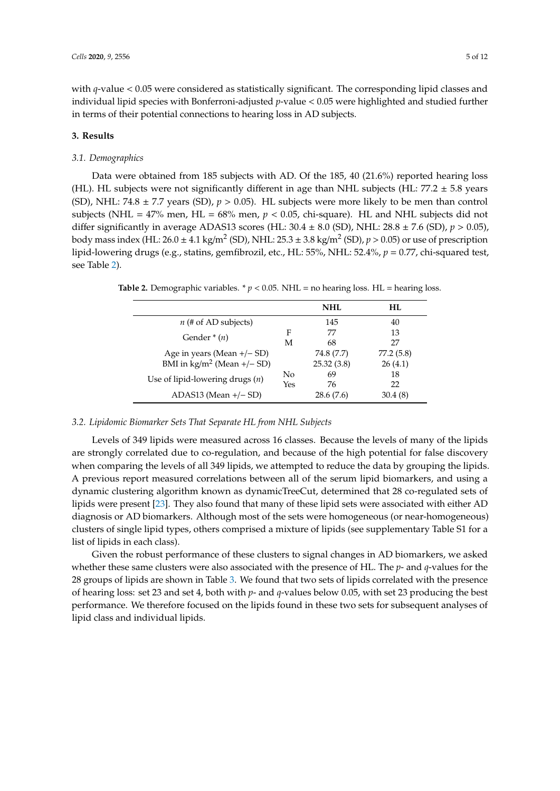with *q*-value < 0.05 were considered as statistically significant. The corresponding lipid classes and individual lipid species with Bonferroni-adjusted *p*-value < 0.05 were highlighted and studied further in terms of their potential connections to hearing loss in AD subjects.

#### **3. Results**

#### *3.1. Demographics*

Data were obtained from 185 subjects with AD. Of the 185, 40 (21.6%) reported hearing loss (HL). HL subjects were not significantly different in age than NHL subjects (HL:  $77.2 \pm 5.8$  years (SD), NHL: 74.8  $\pm$  7.7 years (SD),  $p > 0.05$ ). HL subjects were more likely to be men than control subjects (NHL =  $47\%$  men, HL =  $68\%$  men,  $p < 0.05$ , chi-square). HL and NHL subjects did not differ significantly in average ADAS13 scores (HL:  $30.4 \pm 8.0$  (SD), NHL:  $28.8 \pm 7.6$  (SD),  $p > 0.05$ ), body mass index (HL:  $26.0 \pm 4.1$  kg/m<sup>2</sup> (SD), NHL:  $25.3 \pm 3.8$  kg/m<sup>2</sup> (SD),  $p > 0.05$ ) or use of prescription lipid-lowering drugs (e.g., statins, gemfibrozil, etc., HL: 55%, NHL: 52.4%, *p* = 0.77, chi-squared test, see Table [2\)](#page-4-0).

<span id="page-4-0"></span>**Table 2.** Demographic variables.  $* p < 0.05$ . NHL = no hearing loss. HL = hearing loss.

|                                      |     | <b>NHL</b> | HL         |
|--------------------------------------|-----|------------|------------|
| $n$ (# of AD subjects)               |     | 145        | 40         |
| Gender $*(n)$                        | F   | 77         | 13         |
|                                      | М   | 68         | 27         |
| Age in years (Mean +/- SD)           |     | 74.8 (7.7) | 77.2 (5.8) |
| BMI in $\text{kg/m}^2$ (Mean +/- SD) |     | 25.32(3.8) | 26(4.1)    |
| Use of lipid-lowering drugs $(n)$    | No  | 69         | 18         |
|                                      | Yes | 76         | 22         |
| $ADAS13$ (Mean $+/-$ SD)             |     | 28.6(7.6)  | 30.4(8)    |

#### *3.2. Lipidomic Biomarker Sets That Separate HL from NHL Subjects*

Levels of 349 lipids were measured across 16 classes. Because the levels of many of the lipids are strongly correlated due to co-regulation, and because of the high potential for false discovery when comparing the levels of all 349 lipids, we attempted to reduce the data by grouping the lipids. A previous report measured correlations between all of the serum lipid biomarkers, and using a dynamic clustering algorithm known as dynamicTreeCut, determined that 28 co-regulated sets of lipids were present [\[23\]](#page-10-8). They also found that many of these lipid sets were associated with either AD diagnosis or AD biomarkers. Although most of the sets were homogeneous (or near-homogeneous) clusters of single lipid types, others comprised a mixture of lipids (see supplementary Table S1 for a list of lipids in each class).

Given the robust performance of these clusters to signal changes in AD biomarkers, we asked whether these same clusters were also associated with the presence of HL. The *p*- and *q*-values for the 28 groups of lipids are shown in Table [3.](#page-5-0) We found that two sets of lipids correlated with the presence of hearing loss: set 23 and set 4, both with *p*- and *q*-values below 0.05, with set 23 producing the best performance. We therefore focused on the lipids found in these two sets for subsequent analyses of lipid class and individual lipids.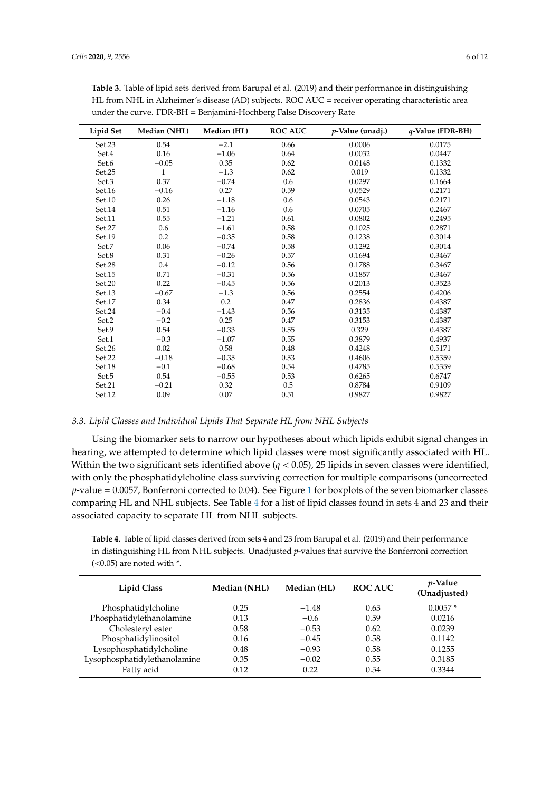| Lipid Set | Median (NHL) | Median (HL) | <b>ROC AUC</b> | p-Value (unadj.) | q-Value (FDR-BH) |
|-----------|--------------|-------------|----------------|------------------|------------------|
| Set.23    | 0.54         | $-2.1$      | 0.66           | 0.0006           | 0.0175           |
| Set.4     | 0.16         | $-1.06$     | 0.64           | 0.0032           | 0.0447           |
| Set.6     | $-0.05$      | 0.35        | 0.62           | 0.0148           | 0.1332           |
| Set.25    | 1            | $-1.3$      | 0.62           | 0.019            | 0.1332           |
| Set.3     | 0.37         | $-0.74$     | 0.6            | 0.0297           | 0.1664           |
| Set.16    | $-0.16$      | 0.27        | 0.59           | 0.0529           | 0.2171           |
| Set.10    | 0.26         | $-1.18$     | 0.6            | 0.0543           | 0.2171           |
| Set.14    | 0.51         | $-1.16$     | 0.6            | 0.0705           | 0.2467           |
| Set.11    | 0.55         | $-1.21$     | 0.61           | 0.0802           | 0.2495           |
| Set.27    | 0.6          | $-1.61$     | 0.58           | 0.1025           | 0.2871           |
| Set.19    | $0.2\,$      | $-0.35$     | 0.58           | 0.1238           | 0.3014           |
| Set.7     | 0.06         | $-0.74$     | 0.58           | 0.1292           | 0.3014           |
| Set.8     | 0.31         | $-0.26$     | 0.57           | 0.1694           | 0.3467           |
| Set.28    | 0.4          | $-0.12$     | 0.56           | 0.1788           | 0.3467           |
| Set.15    | 0.71         | $-0.31$     | 0.56           | 0.1857           | 0.3467           |
| Set.20    | 0.22         | $-0.45$     | 0.56           | 0.2013           | 0.3523           |
| Set.13    | $-0.67$      | $-1.3$      | 0.56           | 0.2554           | 0.4206           |
| Set.17    | 0.34         | 0.2         | 0.47           | 0.2836           | 0.4387           |
| Set.24    | $-0.4$       | $-1.43$     | 0.56           | 0.3135           | 0.4387           |
| Set.2     | $-0.2$       | 0.25        | 0.47           | 0.3153           | 0.4387           |
| Set.9     | 0.54         | $-0.33$     | 0.55           | 0.329            | 0.4387           |
| Set.1     | $-0.3$       | $-1.07$     | 0.55           | 0.3879           | 0.4937           |
| Set.26    | 0.02         | 0.58        | 0.48           | 0.4248           | 0.5171           |
| Set.22    | $-0.18$      | $-0.35$     | 0.53           | 0.4606           | 0.5359           |
| Set.18    | $-0.1$       | $-0.68$     | 0.54           | 0.4785           | 0.5359           |
| Set.5     | 0.54         | $-0.55$     | 0.53           | 0.6265           | 0.6747           |
| Set.21    | $-0.21$      | 0.32        | 0.5            | 0.8784           | 0.9109           |
| Set.12    | 0.09         | 0.07        | 0.51           | 0.9827           | 0.9827           |

<span id="page-5-0"></span>**Table 3.** Table of lipid sets derived from Barupal et al. (2019) and their performance in distinguishing HL from NHL in Alzheimer's disease (AD) subjects. ROC AUC = receiver operating characteristic area under the curve. FDR-BH = Benjamini-Hochberg False Discovery Rate

# *3.3. Lipid Classes and Individual Lipids That Separate HL from NHL Subjects*

Using the biomarker sets to narrow our hypotheses about which lipids exhibit signal changes in hearing, we attempted to determine which lipid classes were most significantly associated with HL. Within the two significant sets identified above  $(q < 0.05)$ , 25 lipids in seven classes were identified, with only the phosphatidylcholine class surviving correction for multiple comparisons (uncorrected *p*-value = 0.0057, Bonferroni corrected to 0.04). See Figure [1](#page-6-0) for boxplots of the seven biomarker classes comparing HL and NHL subjects. See Table [4](#page-5-1) for a list of lipid classes found in sets 4 and 23 and their associated capacity to separate HL from NHL subjects.

<span id="page-5-1"></span>**Table 4.** Table of lipid classes derived from sets 4 and 23 from Barupal et al. (2019) and their performance in distinguishing HL from NHL subjects. Unadjusted *p*-values that survive the Bonferroni correction  $(<$ 0.05) are noted with  $*$ .

| Lipid Class                  | Median (NHL) | Median (HL) | <b>ROC AUC</b> | <i>p</i> -Value<br>(Unadjusted) |
|------------------------------|--------------|-------------|----------------|---------------------------------|
| Phosphatidylcholine          | 0.25         | $-1.48$     | 0.63           | $0.0057*$                       |
| Phosphatidylethanolamine     | 0.13         | $-0.6$      | 0.59           | 0.0216                          |
| Cholesteryl ester            | 0.58         | $-0.53$     | 0.62           | 0.0239                          |
| Phosphatidylinositol         | 0.16         | $-0.45$     | 0.58           | 0.1142                          |
| Lysophosphatidylcholine      | 0.48         | $-0.93$     | 0.58           | 0.1255                          |
| Lysophosphatidylethanolamine | 0.35         | $-0.02$     | 0.55           | 0.3185                          |
| Fatty acid                   | 0.12         | 0.22        | 0.54           | 0.3344                          |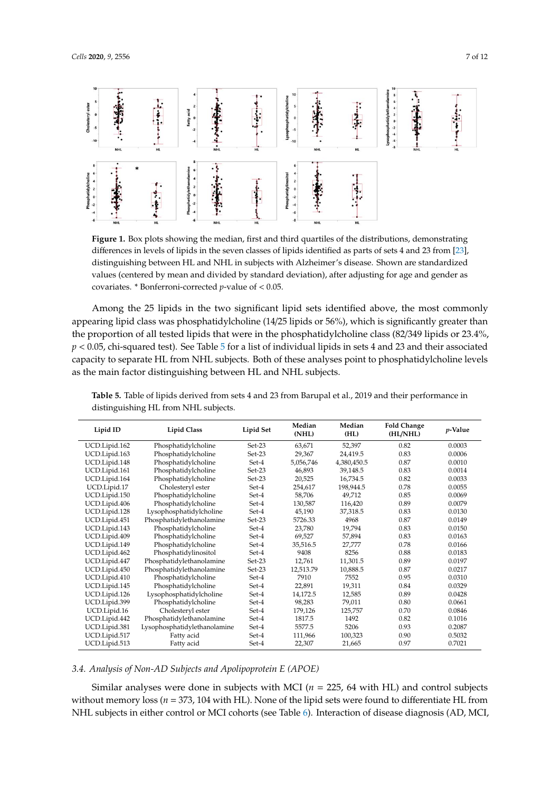<span id="page-6-0"></span>

**Figure 1.** Box plots showing the median, first and third quartiles of the distributions, demonstrating **Figure 1.** Box plots showing the median, first and third quartiles of the distributions, demonstrating differences in levels of lipids in the seven classes of lipids identified as parts of sets 4 and 23 from [23], differences in levels of lipids in the seven classes of lipids identified as parts of sets 4 and 23 from [\[23\]](#page-10-8), distinguishing between HL and NHL in subjects with Alzheimer's disease. Shown are standardized distinguishing between HL and NHL in subjects with Alzheimer's disease. Shown are standardized values (centered by mean and divided by standard deviation), after adjusting for age and gender as values (centered by mean and divided by standard deviation), after adjusting for age and gender as covariates. \* Bonferroni-corrected *p*-value of < 0.05. covariates. \* Bonferroni-corrected *p*-value of < 0.05.

appearing lipid class was phosphatidylcholine (14/25 lipids or 56%), which is significantly greater than appearing lipid class was phosphatidylcholine (14/25 lipids or 56%), which is significantly greater the proportion of all tested lipids that were in the phosphatidylcholine class (82/349 lipids or 23.4%,  $p < 0.05$  $p < 0.05$ , chi-squared test). See Table 5 for a list of individual lipids in sets 4 and 23 and their associated  $p < 0.05$ , chi-squared test). See Table 5 for a list of individual lipids in sets 4 and 23 and their associat <sup>2</sup> 23.6%, chi-squared test). Our anti-structure test of individual lipids in section and 23 and 23 and 23 and 23 and 23 and 23 and 23 and 23 and 23 and 23 and 23 and 23 and 23 and 23 and 23 and 23 and 23 and 23 and 23 and capacity to separate HL from NHL subjects. Both of these analyses point to phosphatidylcholine levels<br>called we in fector distinctivities between HL and NHL subjects. as the main factor distinguishing between HL and NHL subjects. Among the 25 lipids in the two significant lipid sets identified above, the most commonly

| Lipid ID      | Lipid Class                  | Lipid Set | Median<br>(NHL) | Median<br>(HL) | <b>Fold Change</b><br>(HL/NHL) | <i>p</i> -Value |
|---------------|------------------------------|-----------|-----------------|----------------|--------------------------------|-----------------|
| UCD.Lipid.162 | Phosphatidylcholine          | $Set-23$  | 63,671          | 52,397         | 0.82                           | 0.0003          |
| UCD.Lipid.163 | Phosphatidylcholine          | $Set-23$  | 29,367          | 24,419.5       | 0.83                           | 0.0006          |
| UCD.Lipid.148 | Phosphatidylcholine          | Set-4     | 5,056,746       | 4,380,450.5    | 0.87                           | 0.0010          |
| UCD.Lipid.161 | Phosphatidylcholine          | $Set-23$  | 46,893          | 39,148.5       | 0.83                           | 0.0014          |
| UCD.Lipid.164 | Phosphatidylcholine          | $Set-23$  | 20,525          | 16,734.5       | 0.82                           | 0.0033          |
| UCD.Lipid.17  | Cholesteryl ester            | Set-4     | 254,617         | 198,944.5      | 0.78                           | 0.0055          |
| UCD.Lipid.150 | Phosphatidylcholine          | Set-4     | 58.706          | 49.712         | 0.85                           | 0.0069          |
| UCD.Lipid.406 | Phosphatidylcholine          | Set-4     | 130,587         | 116,420        | 0.89                           | 0.0079          |
| UCD.Lipid.128 | Lysophosphatidylcholine      | Set-4     | 45,190          | 37,318.5       | 0.83                           | 0.0130          |
| UCD.Lipid.451 | Phosphatidylethanolamine     | $Set-23$  | 5726.33         | 4968           | 0.87                           | 0.0149          |
| UCD.Lipid.143 | Phosphatidylcholine          | Set-4     | 23,780          | 19,794         | 0.83                           | 0.0150          |
| UCD.Lipid.409 | Phosphatidylcholine          | Set-4     | 69,527          | 57,894         | 0.83                           | 0.0163          |
| UCD.Lipid.149 | Phosphatidylcholine          | Set-4     | 35,516.5        | 27,777         | 0.78                           | 0.0166          |
| UCD.Lipid.462 | Phosphatidylinositol         | Set-4     | 9408            | 8256           | 0.88                           | 0.0183          |
| UCD.Lipid.447 | Phosphatidylethanolamine     | $Set-23$  | 12,761          | 11,301.5       | 0.89                           | 0.0197          |
| UCD.Lipid.450 | Phosphatidylethanolamine     | $Set-23$  | 12,513.79       | 10,888.5       | 0.87                           | 0.0217          |
| UCD.Lipid.410 | Phosphatidylcholine          | Set-4     | 7910            | 7552           | 0.95                           | 0.0310          |
| UCD.Lipid.145 | Phosphatidylcholine          | Set-4     | 22,891          | 19,311         | 0.84                           | 0.0329          |
| UCD.Lipid.126 | Lysophosphatidylcholine      | Set-4     | 14,172.5        | 12,585         | 0.89                           | 0.0428          |
| UCD.Lipid.399 | Phosphatidylcholine          | Set-4     | 98,283          | 79,011         | 0.80                           | 0.0661          |
| UCD.Lipid.16  | Cholesteryl ester            | Set-4     | 179,126         | 125,757        | 0.70                           | 0.0846          |
| UCD.Lipid.442 | Phosphatidylethanolamine     | Set-4     | 1817.5          | 1492           | 0.82                           | 0.1016          |
| UCD.Lipid.381 | Lysophosphatidylethanolamine | Set-4     | 5577.5          | 5206           | 0.93                           | 0.2087          |
| UCD.Lipid.517 | Fatty acid                   | Set-4     | 111,966         | 100,323        | 0.90                           | 0.5032          |
| UCD.Lipid.513 | Fatty acid                   | Set-4     | 22,307          | 21,665         | 0.97                           | 0.7021          |

<span id="page-6-1"></span>**Table 5.** Table of lipids derived from sets 4 and 23 from Barupal et al., 2019 and their performance in distinguishing III from NIH authority. distinguishing HL from NHL subjects. distinguishing HL from NHL subjects.

#### UCD.Lipid.126 Lysophosphatidylcholine Set-4 14,172.5 12,585 0.89 0.0428 3.4. Analysis of Non-AD Subjects and Apolipoprotein E (APOE)

Similar analyses were done in subjects with MCI ( $n = 225$ , 64 with HL) and control subjects without memory loss ( $n = 373$ , 104 with HL). None of the lipid sets were found to differentiate HL from NHL subjects in either control or MCI cohorts (see Table 6). Interaction of disease diagnosis (AD, MCI,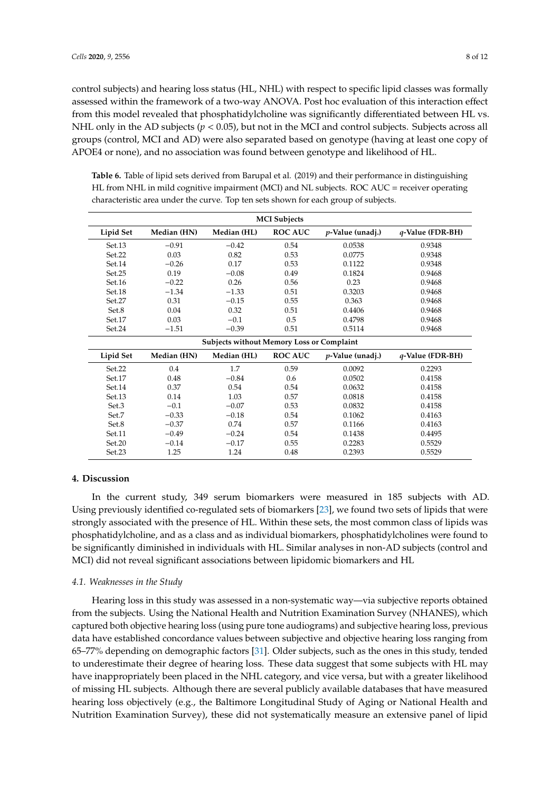control subjects) and hearing loss status (HL, NHL) with respect to specific lipid classes was formally assessed within the framework of a two-way ANOVA. Post hoc evaluation of this interaction effect from this model revealed that phosphatidylcholine was significantly differentiated between HL vs. NHL only in the AD subjects ( $p < 0.05$ ), but not in the MCI and control subjects. Subjects across all groups (control, MCI and AD) were also separated based on genotype (having at least one copy of APOE4 or none), and no association was found between genotype and likelihood of HL.

<span id="page-7-0"></span>**Table 6.** Table of lipid sets derived from Barupal et al. (2019) and their performance in distinguishing HL from NHL in mild cognitive impairment (MCI) and NL subjects. ROC AUC = receiver operating characteristic area under the curve. Top ten sets shown for each group of subjects.

| <b>MCI</b> Subjects |             |                                                  |                |                          |                  |  |
|---------------------|-------------|--------------------------------------------------|----------------|--------------------------|------------------|--|
| <b>Lipid Set</b>    | Median (HN) | Median (HL)                                      | <b>ROC AUC</b> | $p$ -Value (unadj.)      | q-Value (FDR-BH) |  |
| Set.13              | $-0.91$     | $-0.42$                                          | 0.54           | 0.0538                   | 0.9348           |  |
| Set.22              | 0.03        | 0.82                                             | 0.53           | 0.0775                   | 0.9348           |  |
| Set.14              | $-0.26$     | 0.17                                             | 0.53           | 0.1122                   | 0.9348           |  |
| Set.25              | 0.19        | $-0.08$                                          | 0.49           | 0.1824                   | 0.9468           |  |
| Set.16              | $-0.22$     | 0.26                                             | 0.56           | 0.23                     | 0.9468           |  |
| Set.18              | $-1.34$     | $-1.33$                                          | 0.51           | 0.3203                   | 0.9468           |  |
| Set.27              | 0.31        | $-0.15$                                          | 0.55           | 0.363                    | 0.9468           |  |
| Set.8               | 0.04        | 0.32                                             | 0.51           | 0.4406                   | 0.9468           |  |
| Set.17              | 0.03        | $-0.1$                                           | 0.5            | 0.4798                   | 0.9468           |  |
| Set.24              | $-1.51$     | $-0.39$                                          | 0.51           | 0.5114                   | 0.9468           |  |
|                     |             | <b>Subjects without Memory Loss or Complaint</b> |                |                          |                  |  |
| <b>Lipid Set</b>    | Median (HN) | Median (HL)                                      | <b>ROC AUC</b> | <i>p</i> -Value (unadj.) | q-Value (FDR-BH) |  |
| Set.22              | 0.4         | 1.7                                              | 0.59           | 0.0092                   | 0.2293           |  |
| Set.17              | 0.48        | $-0.84$                                          | 0.6            | 0.0502                   | 0.4158           |  |
| Set.14              | 0.37        | 0.54                                             | 0.54           | 0.0632                   | 0.4158           |  |
| Set.13              | 0.14        | 1.03                                             | 0.57           | 0.0818                   | 0.4158           |  |
| Set.3               | $-0.1$      | $-0.07$                                          | 0.53           | 0.0832                   | 0.4158           |  |
| Set.7               | $-0.33$     | $-0.18$                                          | 0.54           | 0.1062                   | 0.4163           |  |
| Set.8               | $-0.37$     | 0.74                                             | 0.57           | 0.1166                   | 0.4163           |  |
| Set.11              | $-0.49$     | $-0.24$                                          | 0.54           | 0.1438                   | 0.4495           |  |
| Set.20              | $-0.14$     | $-0.17$                                          | 0.55           | 0.2283                   | 0.5529           |  |
| Set.23              | 1.25        | 1.24                                             | 0.48           | 0.2393                   | 0.5529           |  |

# **4. Discussion**

In the current study, 349 serum biomarkers were measured in 185 subjects with AD. Using previously identified co-regulated sets of biomarkers [\[23\]](#page-10-8), we found two sets of lipids that were strongly associated with the presence of HL. Within these sets, the most common class of lipids was phosphatidylcholine, and as a class and as individual biomarkers, phosphatidylcholines were found to be significantly diminished in individuals with HL. Similar analyses in non-AD subjects (control and MCI) did not reveal significant associations between lipidomic biomarkers and HL

#### *4.1. Weaknesses in the Study*

Hearing loss in this study was assessed in a non-systematic way—via subjective reports obtained from the subjects. Using the National Health and Nutrition Examination Survey (NHANES), which captured both objective hearing loss (using pure tone audiograms) and subjective hearing loss, previous data have established concordance values between subjective and objective hearing loss ranging from 65–77% depending on demographic factors [\[31\]](#page-10-15). Older subjects, such as the ones in this study, tended to underestimate their degree of hearing loss. These data suggest that some subjects with HL may have inappropriately been placed in the NHL category, and vice versa, but with a greater likelihood of missing HL subjects. Although there are several publicly available databases that have measured hearing loss objectively (e.g., the Baltimore Longitudinal Study of Aging or National Health and Nutrition Examination Survey), these did not systematically measure an extensive panel of lipid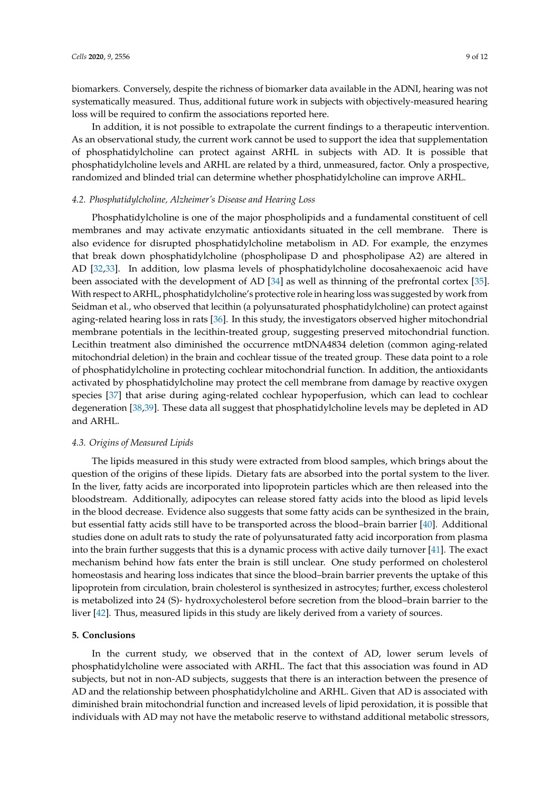biomarkers. Conversely, despite the richness of biomarker data available in the ADNI, hearing was not systematically measured. Thus, additional future work in subjects with objectively-measured hearing loss will be required to confirm the associations reported here.

In addition, it is not possible to extrapolate the current findings to a therapeutic intervention. As an observational study, the current work cannot be used to support the idea that supplementation of phosphatidylcholine can protect against ARHL in subjects with AD. It is possible that phosphatidylcholine levels and ARHL are related by a third, unmeasured, factor. Only a prospective, randomized and blinded trial can determine whether phosphatidylcholine can improve ARHL.

#### *4.2. Phosphatidylcholine, Alzheimer's Disease and Hearing Loss*

Phosphatidylcholine is one of the major phospholipids and a fundamental constituent of cell membranes and may activate enzymatic antioxidants situated in the cell membrane. There is also evidence for disrupted phosphatidylcholine metabolism in AD. For example, the enzymes that break down phosphatidylcholine (phospholipase D and phospholipase A2) are altered in AD [\[32,](#page-11-0)[33\]](#page-11-1). In addition, low plasma levels of phosphatidylcholine docosahexaenoic acid have been associated with the development of AD [\[34\]](#page-11-2) as well as thinning of the prefrontal cortex [\[35\]](#page-11-3). With respect to ARHL, phosphatidylcholine's protective role in hearing loss was suggested by work from Seidman et al., who observed that lecithin (a polyunsaturated phosphatidylcholine) can protect against aging-related hearing loss in rats [\[36\]](#page-11-4). In this study, the investigators observed higher mitochondrial membrane potentials in the lecithin-treated group, suggesting preserved mitochondrial function. Lecithin treatment also diminished the occurrence mtDNA4834 deletion (common aging-related mitochondrial deletion) in the brain and cochlear tissue of the treated group. These data point to a role of phosphatidylcholine in protecting cochlear mitochondrial function. In addition, the antioxidants activated by phosphatidylcholine may protect the cell membrane from damage by reactive oxygen species [\[37\]](#page-11-5) that arise during aging-related cochlear hypoperfusion, which can lead to cochlear degeneration [\[38,](#page-11-6)[39\]](#page-11-7). These data all suggest that phosphatidylcholine levels may be depleted in AD and ARHL.

#### *4.3. Origins of Measured Lipids*

The lipids measured in this study were extracted from blood samples, which brings about the question of the origins of these lipids. Dietary fats are absorbed into the portal system to the liver. In the liver, fatty acids are incorporated into lipoprotein particles which are then released into the bloodstream. Additionally, adipocytes can release stored fatty acids into the blood as lipid levels in the blood decrease. Evidence also suggests that some fatty acids can be synthesized in the brain, but essential fatty acids still have to be transported across the blood–brain barrier [\[40\]](#page-11-8). Additional studies done on adult rats to study the rate of polyunsaturated fatty acid incorporation from plasma into the brain further suggests that this is a dynamic process with active daily turnover [\[41\]](#page-11-9). The exact mechanism behind how fats enter the brain is still unclear. One study performed on cholesterol homeostasis and hearing loss indicates that since the blood–brain barrier prevents the uptake of this lipoprotein from circulation, brain cholesterol is synthesized in astrocytes; further, excess cholesterol is metabolized into 24 (S)- hydroxycholesterol before secretion from the blood–brain barrier to the liver [\[42\]](#page-11-10). Thus, measured lipids in this study are likely derived from a variety of sources.

#### **5. Conclusions**

In the current study, we observed that in the context of AD, lower serum levels of phosphatidylcholine were associated with ARHL. The fact that this association was found in AD subjects, but not in non-AD subjects, suggests that there is an interaction between the presence of AD and the relationship between phosphatidylcholine and ARHL. Given that AD is associated with diminished brain mitochondrial function and increased levels of lipid peroxidation, it is possible that individuals with AD may not have the metabolic reserve to withstand additional metabolic stressors,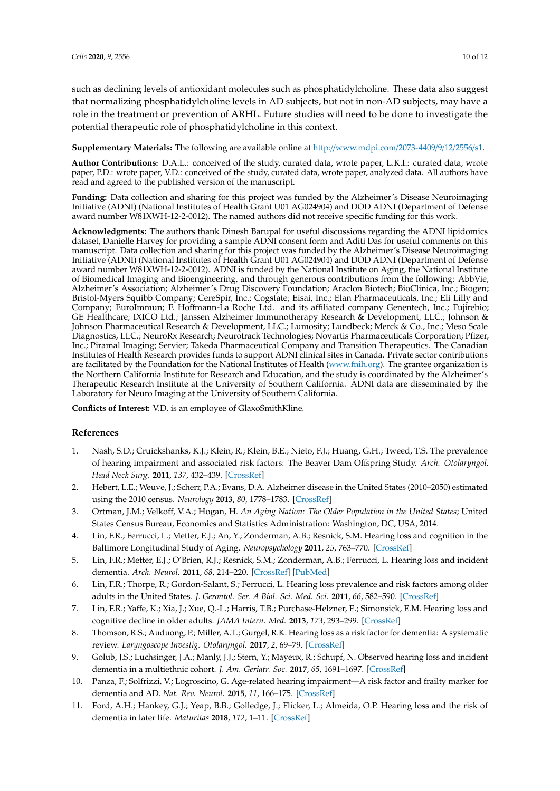such as declining levels of antioxidant molecules such as phosphatidylcholine. These data also suggest that normalizing phosphatidylcholine levels in AD subjects, but not in non-AD subjects, may have a role in the treatment or prevention of ARHL. Future studies will need to be done to investigate the potential therapeutic role of phosphatidylcholine in this context.

**Supplementary Materials:** The following are available online at http://[www.mdpi.com](http://www.mdpi.com/2073-4409/9/12/2556/s1)/2073-4409/9/12/2556/s1.

**Author Contributions:** D.A.L.: conceived of the study, curated data, wrote paper, L.K.I.: curated data, wrote paper, P.D.: wrote paper, V.D.: conceived of the study, curated data, wrote paper, analyzed data. All authors have read and agreed to the published version of the manuscript.

**Funding:** Data collection and sharing for this project was funded by the Alzheimer's Disease Neuroimaging Initiative (ADNI) (National Institutes of Health Grant U01 AG024904) and DOD ADNI (Department of Defense award number W81XWH-12-2-0012). The named authors did not receive specific funding for this work.

**Acknowledgments:** The authors thank Dinesh Barupal for useful discussions regarding the ADNI lipidomics dataset, Danielle Harvey for providing a sample ADNI consent form and Aditi Das for useful comments on this manuscript. Data collection and sharing for this project was funded by the Alzheimer's Disease Neuroimaging Initiative (ADNI) (National Institutes of Health Grant U01 AG024904) and DOD ADNI (Department of Defense award number W81XWH-12-2-0012). ADNI is funded by the National Institute on Aging, the National Institute of Biomedical Imaging and Bioengineering, and through generous contributions from the following: AbbVie, Alzheimer's Association; Alzheimer's Drug Discovery Foundation; Araclon Biotech; BioClinica, Inc.; Biogen; Bristol-Myers Squibb Company; CereSpir, Inc.; Cogstate; Eisai, Inc.; Elan Pharmaceuticals, Inc.; Eli Lilly and Company; EuroImmun; F. Hoffmann-La Roche Ltd. and its affiliated company Genentech, Inc.; Fujirebio; GE Healthcare; IXICO Ltd.; Janssen Alzheimer Immunotherapy Research & Development, LLC.; Johnson & Johnson Pharmaceutical Research & Development, LLC.; Lumosity; Lundbeck; Merck & Co., Inc.; Meso Scale Diagnostics, LLC.; NeuroRx Research; Neurotrack Technologies; Novartis Pharmaceuticals Corporation; Pfizer, Inc.; Piramal Imaging; Servier; Takeda Pharmaceutical Company and Transition Therapeutics. The Canadian Institutes of Health Research provides funds to support ADNI clinical sites in Canada. Private sector contributions are facilitated by the Foundation for the National Institutes of Health [\(www.fnih.org\)](www.fnih.org). The grantee organization is the Northern California Institute for Research and Education, and the study is coordinated by the Alzheimer's Therapeutic Research Institute at the University of Southern California. ADNI data are disseminated by the Laboratory for Neuro Imaging at the University of Southern California.

**Conflicts of Interest:** V.D. is an employee of GlaxoSmithKline.

#### **References**

- <span id="page-9-0"></span>1. Nash, S.D.; Cruickshanks, K.J.; Klein, R.; Klein, B.E.; Nieto, F.J.; Huang, G.H.; Tweed, T.S. The prevalence of hearing impairment and associated risk factors: The Beaver Dam Offspring Study. *Arch. Otolaryngol. Head Neck Surg.* **2011**, *137*, 432–439. [\[CrossRef\]](http://dx.doi.org/10.1001/archoto.2011.15)
- <span id="page-9-1"></span>2. Hebert, L.E.; Weuve, J.; Scherr, P.A.; Evans, D.A. Alzheimer disease in the United States (2010–2050) estimated using the 2010 census. *Neurology* **2013**, *80*, 1778–1783. [\[CrossRef\]](http://dx.doi.org/10.1212/WNL.0b013e31828726f5)
- <span id="page-9-2"></span>3. Ortman, J.M.; Velkoff, V.A.; Hogan, H. *An Aging Nation: The Older Population in the United States*; United States Census Bureau, Economics and Statistics Administration: Washington, DC, USA, 2014.
- <span id="page-9-3"></span>4. Lin, F.R.; Ferrucci, L.; Metter, E.J.; An, Y.; Zonderman, A.B.; Resnick, S.M. Hearing loss and cognition in the Baltimore Longitudinal Study of Aging. *Neuropsychology* **2011**, *25*, 763–770. [\[CrossRef\]](http://dx.doi.org/10.1037/a0024238)
- 5. Lin, F.R.; Metter, E.J.; O'Brien, R.J.; Resnick, S.M.; Zonderman, A.B.; Ferrucci, L. Hearing loss and incident dementia. *Arch. Neurol.* **2011**, *68*, 214–220. [\[CrossRef\]](http://dx.doi.org/10.1001/archneurol.2010.362) [\[PubMed\]](http://www.ncbi.nlm.nih.gov/pubmed/21320988)
- 6. Lin, F.R.; Thorpe, R.; Gordon-Salant, S.; Ferrucci, L. Hearing loss prevalence and risk factors among older adults in the United States. *J. Gerontol. Ser. A Biol. Sci. Med. Sci.* **2011**, *66*, 582–590. [\[CrossRef\]](http://dx.doi.org/10.1093/gerona/glr002)
- 7. Lin, F.R.; Yaffe, K.; Xia, J.; Xue, Q.-L.; Harris, T.B.; Purchase-Helzner, E.; Simonsick, E.M. Hearing loss and cognitive decline in older adults. *JAMA Intern. Med.* **2013**, *173*, 293–299. [\[CrossRef\]](http://dx.doi.org/10.1001/jamainternmed.2013.1868)
- 8. Thomson, R.S.; Auduong, P.; Miller, A.T.; Gurgel, R.K. Hearing loss as a risk factor for dementia: A systematic review. *Laryngoscope Investig. Otolaryngol.* **2017**, *2*, 69–79. [\[CrossRef\]](http://dx.doi.org/10.1002/lio2.65)
- 9. Golub, J.S.; Luchsinger, J.A.; Manly, J.J.; Stern, Y.; Mayeux, R.; Schupf, N. Observed hearing loss and incident dementia in a multiethnic cohort. *J. Am. Geriatr. Soc.* **2017**, *65*, 1691–1697. [\[CrossRef\]](http://dx.doi.org/10.1111/jgs.14848)
- 10. Panza, F.; Solfrizzi, V.; Logroscino, G. Age-related hearing impairment—A risk factor and frailty marker for dementia and AD. *Nat. Rev. Neurol.* **2015**, *11*, 166–175. [\[CrossRef\]](http://dx.doi.org/10.1038/nrneurol.2015.12)
- <span id="page-9-4"></span>11. Ford, A.H.; Hankey, G.J.; Yeap, B.B.; Golledge, J.; Flicker, L.; Almeida, O.P. Hearing loss and the risk of dementia in later life. *Maturitas* **2018**, *112*, 1–11. [\[CrossRef\]](http://dx.doi.org/10.1016/j.maturitas.2018.03.004)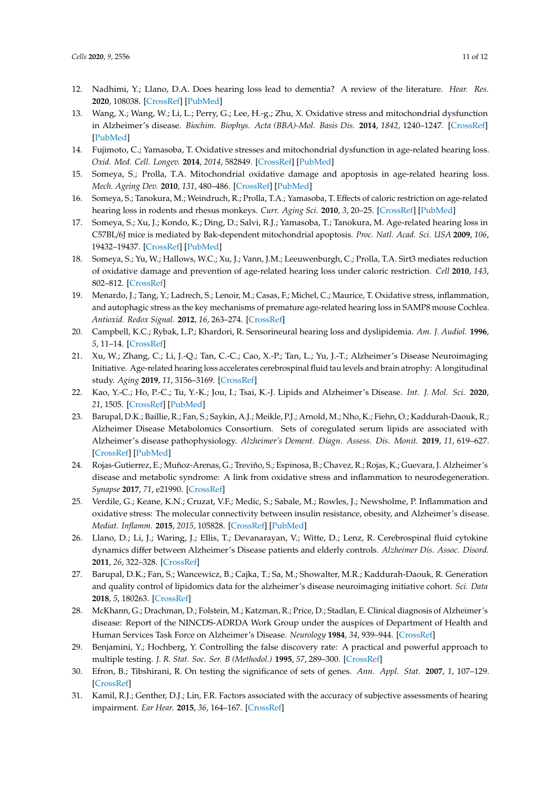- <span id="page-10-0"></span>12. Nadhimi, Y.; Llano, D.A. Does hearing loss lead to dementia? A review of the literature. *Hear. Res.* **2020**, 108038. [\[CrossRef\]](http://dx.doi.org/10.1016/j.heares.2020.108038) [\[PubMed\]](http://www.ncbi.nlm.nih.gov/pubmed/32814645)
- <span id="page-10-1"></span>13. Wang, X.; Wang, W.; Li, L.; Perry, G.; Lee, H.-g.; Zhu, X. Oxidative stress and mitochondrial dysfunction in Alzheimer's disease. *Biochim. Biophys. Acta (BBA)-Mol. Basis Dis.* **2014**, *1842*, 1240–1247. [\[CrossRef\]](http://dx.doi.org/10.1016/j.bbadis.2013.10.015) [\[PubMed\]](http://www.ncbi.nlm.nih.gov/pubmed/24189435)
- <span id="page-10-2"></span>14. Fujimoto, C.; Yamasoba, T. Oxidative stresses and mitochondrial dysfunction in age-related hearing loss. *Oxid. Med. Cell. Longev.* **2014**, *2014*, 582849. [\[CrossRef\]](http://dx.doi.org/10.1155/2014/582849) [\[PubMed\]](http://www.ncbi.nlm.nih.gov/pubmed/25110550)
- <span id="page-10-3"></span>15. Someya, S.; Prolla, T.A. Mitochondrial oxidative damage and apoptosis in age-related hearing loss. *Mech. Ageing Dev.* **2010**, *131*, 480–486. [\[CrossRef\]](http://dx.doi.org/10.1016/j.mad.2010.04.006) [\[PubMed\]](http://www.ncbi.nlm.nih.gov/pubmed/20434479)
- 16. Someya, S.; Tanokura, M.; Weindruch, R.; Prolla, T.A.; Yamasoba, T. Effects of caloric restriction on age-related hearing loss in rodents and rhesus monkeys. *Curr. Aging Sci.* **2010**, *3*, 20–25. [\[CrossRef\]](http://dx.doi.org/10.2174/1874609811003010020) [\[PubMed\]](http://www.ncbi.nlm.nih.gov/pubmed/20298166)
- 17. Someya, S.; Xu, J.; Kondo, K.; Ding, D.; Salvi, R.J.; Yamasoba, T.; Tanokura, M. Age-related hearing loss in C57BL/6J mice is mediated by Bak-dependent mitochondrial apoptosis. *Proc. Natl. Acad. Sci. USA* **2009**, *106*, 19432–19437. [\[CrossRef\]](http://dx.doi.org/10.1073/pnas.0908786106) [\[PubMed\]](http://www.ncbi.nlm.nih.gov/pubmed/19901338)
- 18. Someya, S.; Yu, W.; Hallows, W.C.; Xu, J.; Vann, J.M.; Leeuwenburgh, C.; Prolla, T.A. Sirt3 mediates reduction of oxidative damage and prevention of age-related hearing loss under caloric restriction. *Cell* **2010**, *143*, 802–812. [\[CrossRef\]](http://dx.doi.org/10.1016/j.cell.2010.10.002)
- <span id="page-10-4"></span>19. Menardo, J.; Tang, Y.; Ladrech, S.; Lenoir, M.; Casas, F.; Michel, C.; Maurice, T. Oxidative stress, inflammation, and autophagic stress as the key mechanisms of premature age-related hearing loss in SAMP8 mouse Cochlea. *Antioxid. Redox Signal.* **2012**, *16*, 263–274. [\[CrossRef\]](http://dx.doi.org/10.1089/ars.2011.4037)
- <span id="page-10-5"></span>20. Campbell, K.C.; Rybak, L.P.; Khardori, R. Sensorineural hearing loss and dyslipidemia. *Am. J. Audiol.* **1996**, *5*, 11–14. [\[CrossRef\]](http://dx.doi.org/10.1044/1059-0889.0503.11)
- <span id="page-10-6"></span>21. Xu, W.; Zhang, C.; Li, J.-Q.; Tan, C.-C.; Cao, X.-P.; Tan, L.; Yu, J.-T.; Alzheimer's Disease Neuroimaging Initiative. Age-related hearing loss accelerates cerebrospinal fluid tau levels and brain atrophy: A longitudinal study. *Aging* **2019**, *11*, 3156–3169. [\[CrossRef\]](http://dx.doi.org/10.18632/aging.101971)
- <span id="page-10-7"></span>22. Kao, Y.-C.; Ho, P.-C.; Tu, Y.-K.; Jou, I.; Tsai, K.-J. Lipids and Alzheimer's Disease. *Int. J. Mol. Sci.* **2020**, *21*, 1505. [\[CrossRef\]](http://dx.doi.org/10.3390/ijms21041505) [\[PubMed\]](http://www.ncbi.nlm.nih.gov/pubmed/32098382)
- <span id="page-10-8"></span>23. Barupal, D.K.; Baillie, R.; Fan, S.; Saykin, A.J.; Meikle, P.J.; Arnold, M.; Nho, K.; Fiehn, O.; Kaddurah-Daouk, R.; Alzheimer Disease Metabolomics Consortium. Sets of coregulated serum lipids are associated with Alzheimer's disease pathophysiology. *Alzheimer's Dement. Diagn. Assess. Dis. Monit.* **2019**, *11*, 619–627. [\[CrossRef\]](http://dx.doi.org/10.1016/j.dadm.2019.07.002) [\[PubMed\]](http://www.ncbi.nlm.nih.gov/pubmed/31517024)
- <span id="page-10-9"></span>24. Rojas-Gutierrez, E.; Muñoz-Arenas, G.; Treviño, S.; Espinosa, B.; Chavez, R.; Rojas, K.; Guevara, J. Alzheimer's disease and metabolic syndrome: A link from oxidative stress and inflammation to neurodegeneration. *Synapse* **2017**, *71*, e21990. [\[CrossRef\]](http://dx.doi.org/10.1002/syn.21990)
- 25. Verdile, G.; Keane, K.N.; Cruzat, V.F.; Medic, S.; Sabale, M.; Rowles, J.; Newsholme, P. Inflammation and oxidative stress: The molecular connectivity between insulin resistance, obesity, and Alzheimer's disease. *Mediat. Inflamm.* **2015**, *2015*, 105828. [\[CrossRef\]](http://dx.doi.org/10.1155/2015/105828) [\[PubMed\]](http://www.ncbi.nlm.nih.gov/pubmed/26693205)
- <span id="page-10-10"></span>26. Llano, D.; Li, J.; Waring, J.; Ellis, T.; Devanarayan, V.; Witte, D.; Lenz, R. Cerebrospinal fluid cytokine dynamics differ between Alzheimer's Disease patients and elderly controls. *Alzheimer Dis. Assoc. Disord.* **2011**, *26*, 322–328. [\[CrossRef\]](http://dx.doi.org/10.1097/WAD.0b013e31823b2728)
- <span id="page-10-11"></span>27. Barupal, D.K.; Fan, S.; Wancewicz, B.; Cajka, T.; Sa, M.; Showalter, M.R.; Kaddurah-Daouk, R. Generation and quality control of lipidomics data for the alzheimer's disease neuroimaging initiative cohort. *Sci. Data* **2018**, *5*, 180263. [\[CrossRef\]](http://dx.doi.org/10.1038/sdata.2018.263)
- <span id="page-10-12"></span>28. McKhann, G.; Drachman, D.; Folstein, M.; Katzman, R.; Price, D.; Stadlan, E. Clinical diagnosis of Alzheimer's disease: Report of the NINCDS-ADRDA Work Group under the auspices of Department of Health and Human Services Task Force on Alzheimer's Disease. *Neurology* **1984**, *34*, 939–944. [\[CrossRef\]](http://dx.doi.org/10.1212/WNL.34.7.939)
- <span id="page-10-13"></span>29. Benjamini, Y.; Hochberg, Y. Controlling the false discovery rate: A practical and powerful approach to multiple testing. *J. R. Stat. Soc. Ser. B (Methodol.)* **1995**, *57*, 289–300. [\[CrossRef\]](http://dx.doi.org/10.1111/j.2517-6161.1995.tb02031.x)
- <span id="page-10-14"></span>30. Efron, B.; Tibshirani, R. On testing the significance of sets of genes. *Ann. Appl. Stat.* **2007**, *1*, 107–129. [\[CrossRef\]](http://dx.doi.org/10.1214/07-AOAS101)
- <span id="page-10-15"></span>31. Kamil, R.J.; Genther, D.J.; Lin, F.R. Factors associated with the accuracy of subjective assessments of hearing impairment. *Ear Hear.* **2015**, *36*, 164–167. [\[CrossRef\]](http://dx.doi.org/10.1097/AUD.0000000000000075)